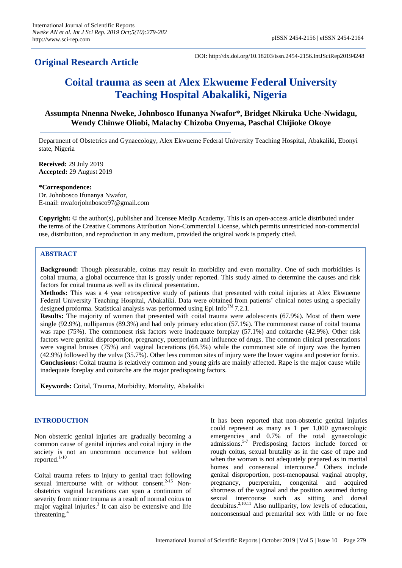## **Original Research Article**

DOI: http://dx.doi.org/10.18203/issn.2454-2156.IntJSciRep20194248

# **Coital trauma as seen at Alex Ekwueme Federal University Teaching Hospital Abakaliki, Nigeria**

### **Assumpta Nnenna Nweke, Johnbosco Ifunanya Nwafor\*, Bridget Nkiruka Uche-Nwidagu, Wendy Chinwe Oliobi, Malachy Chizoba Onyema, Paschal Chijioke Okoye**

Department of Obstetrics and Gynaecology, Alex Ekwueme Federal University Teaching Hospital, Abakaliki, Ebonyi state, Nigeria

**Received:** 29 July 2019 **Accepted:** 29 August 2019

**\*Correspondence:** Dr. Johnbosco Ifunanya Nwafor, E-mail: nwaforjohnbosco97@gmail.com

**Copyright:** © the author(s), publisher and licensee Medip Academy. This is an open-access article distributed under the terms of the Creative Commons Attribution Non-Commercial License, which permits unrestricted non-commercial use, distribution, and reproduction in any medium, provided the original work is properly cited.

#### **ABSTRACT**

**Background:** Though pleasurable, coitus may result in morbidity and even mortality. One of such morbidities is coital trauma, a global occurrence that is grossly under reported. This study aimed to determine the causes and risk factors for coital trauma as well as its clinical presentation.

**Methods:** This was a 4 year retrospective study of patients that presented with coital injuries at Alex Ekwueme Federal University Teaching Hospital, Abakaliki. Data were obtained from patients' clinical notes using a specially designed proforma. Statistical analysis was performed using Epi Info<sup>TM</sup> 7.2.1.

**Results:** The majority of women that presented with coital trauma were adolescents (67.9%). Most of them were single (92.9%), nulliparous (89.3%) and had only primary education (57.1%). The commonest cause of coital trauma was rape (75%). The commonest risk factors were inadequate foreplay (57.1%) and coitarche (42.9%). Other risk factors were genital disproportion, pregnancy, puerperium and influence of drugs. The common clinical presentations were vaginal bruises (75%) and vaginal lacerations (64.3%) while the commonest site of injury was the hymen (42.9%) followed by the vulva (35.7%). Other less common sites of injury were the lower vagina and posterior fornix. **Conclusions:** Coital trauma is relatively common and young girls are mainly affected. Rape is the major cause while inadequate foreplay and coitarche are the major predisposing factors.

**Keywords:** Coital, Trauma, Morbidity, Mortality, Abakaliki

#### **INTRODUCTION**

Non obstetric genital injuries are gradually becoming a common cause of genital injuries and coital injury in the society is not an uncommon occurrence but seldom reported.<sup>1-10</sup>

Coital trauma refers to injury to genital tract following sexual intercourse with or without consent.<sup>2-15</sup> Nonobstetrics vaginal lacerations can span a continuum of severity from minor trauma as a result of normal coitus to major vaginal injuries. 3 It can also be extensive and life threatening. 4

It has been reported that non-obstetric genital injuries could represent as many as 1 per 1,000 gynaecologic emergencies and 0.7% of the total gynaecologic admissions. 5-7 Predisposing factors include forced or rough coitus, sexual brutality as in the case of rape and when the woman is not adequately prepared as in marital homes and consensual intercourse.<sup>8</sup> Others include genital disproportion, post-menopausal vaginal atrophy, pregnancy, puerperuim, congenital and acquired shortness of the vaginal and the position assumed during sexual intercourse such as sitting and dorsal decubitus. 2,10,11 Also nulliparity, low levels of education, nonconsensual and premarital sex with little or no fore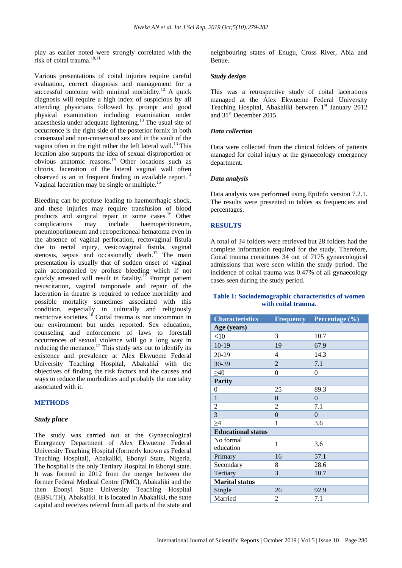play as earlier noted were strongly correlated with the risk of coital trauma. 10,11

Various presentations of coital injuries require careful evaluation, correct diagnosis and management for a successful outcome with minimal morbidity.<sup>12</sup> A quick diagnosis will require a high index of suspicious by all attending physicians followed by prompt and good physical examination including examination under anaesthesia under adequate lightening.<sup>13</sup> The usual site of occurrence is the right side of the posterior fornix in both consensual and non-consensual sex and in the vault of the vagina often in the right rather the left lateral wall.<sup>13</sup> This location also supports the idea of sexual disproportion or obvious anatomic reasons.<sup>14</sup> Other locations such as clitoris, laceration of the lateral vaginal wall often observed is an in frequent finding in available report.<sup>14</sup> Vaginal laceration may be single or multiple.<sup>15</sup>

Bleeding can be profuse leading to haemorrhagic shock, and these injuries may require transfusion of blood products and surgical repair in some cases.<sup>16</sup> Other complications may include haemoperitoneum, pneumoperitoneum and retroperitoneal hematoma even in the absence of vaginal perforation, rectovaginal fistula due to rectal injury, vesicovaginal fistula, vaginal stenosis, sepsis and occasionally death.<sup>17</sup> The main presentation is usually that of sudden onset of vaginal pain accompanied by profuse bleeding which if not quickly arrested will result in fatality.<sup>17</sup> Prompt patient resuscitation, vaginal tamponade and repair of the laceration in theatre is required to reduce morbidity and possible mortality sometimes associated with this condition, especially in culturally and religiously restrictive societies.<sup>16</sup> Coital trauma is not uncommon in our environment but under reported. Sex education, counseling and enforcement of laws to forestall occurrences of sexual violence will go a long way in reducing the menance.<sup>17</sup> This study sets out to identify its existence and prevalence at Alex Ekwueme Federal University Teaching Hospital, Abakaliki with the objectives of finding the risk factors and the causes and ways to reduce the morbidities and probably the mortality associated with it.

#### **METHODS**

#### *Study place*

The study was carried out at the Gynaecological Emergency Department of Alex Ekwueme Federal University Teaching Hospital (formerly known as Federal Teaching Hospital), Abakaliki, Ebonyi State, Nigeria. The hospital is the only Tertiary Hospital in Ebonyi state. It was formed in 2012 from the merger between the former Federal Medical Centre (FMC), Abakaliki and the then Ebonyi State University Teaching Hospital (EBSUTH), Abakaliki. It is located in Abakaliki, the state capital and receives referral from all parts of the state and neighbouring states of Enugu, Cross River, Abia and Benue.

#### *Study design*

This was a retrospective study of coital lacerations managed at the Alex Ekwueme Federal University Teaching Hospital, Abakaliki between  $1<sup>st</sup>$  January 2012 and 31st December 2015.

#### *Data collection*

Data were collected from the clinical folders of patients managed for coital injury at the gynaecology emergency department.

#### *Data analysis*

Data analysis was performed using EpiInfo version 7.2.1. The results were presented in tables as frequencies and percentages.

#### **RESULTS**

A total of 34 folders were retrieved but 28 folders had the complete information required for the study. Therefore, Coital trauma constitutes 34 out of 7175 gynaecological admissions that were seen within the study period. The incidence of coital trauma was 0.47% of all gynaecology cases seen during the study period.

#### **Table 1: Sociodemographic characteristics of women with coital trauma.**

| <b>Characteristics</b>    | <b>Frequency</b> | Percentage (%) |
|---------------------------|------------------|----------------|
| Age (years)               |                  |                |
| $<$ 10                    | 3                | 10.7           |
| $10-19$                   | 19               | 67.9           |
| 20-29                     | 4                | 14.3           |
| 30-39                     | $\overline{2}$   | 7.1            |
| >40                       | $\Omega$         | $\Omega$       |
| <b>Parity</b>             |                  |                |
| 0                         | 25               | 89.3           |
| $\mathbf{1}$              | $\overline{0}$   | $\overline{0}$ |
| $\overline{2}$            | 2                | 7.1            |
| 3                         | $\overline{0}$   | $\overline{0}$ |
| $\geq 4$                  | 1                | 3.6            |
| <b>Educational status</b> |                  |                |
| No formal<br>education    | 1                | 3.6            |
| Primary                   | 16               | 57.1           |
| Secondary                 | 8                | 28.6           |
| Tertiary                  | 3                | 10.7           |
| <b>Marital status</b>     |                  |                |
| Single                    | 26               | 92.9           |
| Married                   | 2                | 7.1            |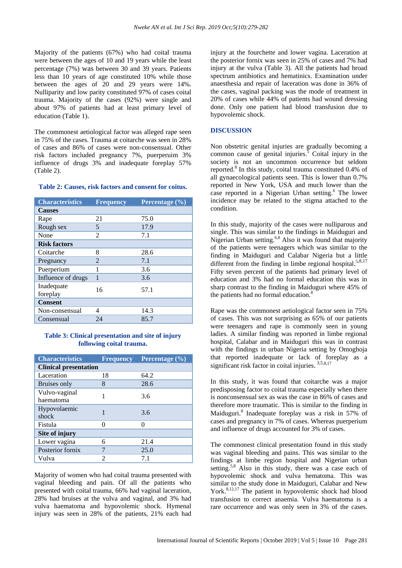Majority of the patients (67%) who had coital trauma were between the ages of 10 and 19 years while the least percentage (7%) was between 30 and 39 years. Patients less than 10 years of age constituted 10% while those between the ages of 20 and 29 years were 14%. Nulliparity and low parity constituted 97% of cases coital trauma. Majority of the cases (92%) were single and about 97% of patients had at least primary level of education (Table 1).

The commonest aetiological factor was alleged rape seen in 75% of the cases. Trauma at coitarche was seen in 28% of cases and 86% of cases were non-consensual. Other risk factors included pregnancy 7%, puerperuim 3% influence of drugs 3% and inadequate foreplay 57% (Table 2).

#### **Table 2: Causes, risk factors and consent for coitus.**

| <b>Characteristics</b> | <b>Frequency</b> | Percentage $(\overline{\frac{9}{6}})$ |
|------------------------|------------------|---------------------------------------|
| <b>Causes</b>          |                  |                                       |
| Rape                   | 21               | 75.0                                  |
| Rough sex              | 5                | 17.9                                  |
| None                   | $\mathfrak{D}$   | 7.1                                   |
| <b>Risk factors</b>    |                  |                                       |
| Coitarche              | 8                | 28.6                                  |
| Pregnancy              | 2                | 7.1                                   |
| Puerperium             |                  | 3.6                                   |
| Influence of drugs     |                  | 3.6                                   |
| Inadequate<br>foreplay | 16               | 57.1                                  |
| <b>Consent</b>         |                  |                                       |
| Non-consensual         | 4                | 14.3                                  |
| Consensual             | 24               | 85.7                                  |

#### **Table 3: Clinical presentation and site of injury following coital trauma.**

| <b>Characteristics</b>       | <b>Frequency</b> | Percentage $\overline{(\%)}$ |
|------------------------------|------------------|------------------------------|
| <b>Clinical presentation</b> |                  |                              |
| Laceration                   | 18               | 64.2                         |
| <b>Bruises</b> only          | 8                | 28.6                         |
| Vulvo-vaginal<br>haematoma   | 1                | 3.6                          |
| Hypovolaemic<br>shock        |                  | 3.6                          |
| Fistula                      | 0                |                              |
| Site of injury               |                  |                              |
| Lower vagina                 | 6                | 21.4                         |
| Posterior fornix             | 7                | 25.0                         |
| Vulva                        | 2                | 7.1                          |

Majority of women who had coital trauma presented with vaginal bleeding and pain. Of all the patients who presented with coital trauma, 66% had vaginal laceration, 28% had bruises at the vulva and vaginal, and 3% had vulva haematoma and hypovolemic shock. Hymenal injury was seen in 28% of the patients, 21% each had injury at the fourchette and lower vagina. Laceration at the posterior fornix was seen in 25% of cases and 7% had injury at the vulva (Table 3). All the patients had broad spectrum antibiotics and hematinics. Examination under anaesthesia and repair of laceration was done in 36% of the cases, vaginal packing was the mode of treatment in 20% of cases while 44% of patients had wound dressing done. Only one patient had blood transfusion due to hypovolemic shock.

#### **DISCUSSION**

Non obstetric genital injuries are gradually becoming a common cause of genital injuries.<sup>5</sup> Coital injury in the society is not an uncommon occurrence but seldom reported. 8 In this study, coital trauma constituted 0.4% of all gynaecological patients seen. This is lower than 0.7% reported in New York, USA and much lower than the case reported in a Nigerian Urban setting. <sup>6</sup> The lower incidence may be related to the stigma attached to the condition.

In this study, majority of the cases were nulliparous and single. This was similar to the findings in Maiduguri and Nigerian Urban setting.<sup>6,8</sup> Also it was found that majority of the patients were teenagers which was similar to the finding in Maiduguri and Calabar Nigeria but a little different from the finding in limbe regional hospital.<sup>5,8,17</sup> Fifty seven percent of the patients had primary level of education and 3% had no formal education this was in sharp contrast to the finding in Maiduguri where 45% of the patients had no formal education.<sup>8</sup>

Rape was the commonest aetiological factor seen in 75% of cases. This was not surprising as 65% of our patients were teenagers and rape is commonly seen in young ladies. A similar finding was reported in limbe regional hospital, Calabar and in Maiduguri this was in contrast with the findings in urban Nigeria setting by Omoghoja that reported inadequate or lack of foreplay as a significant risk factor in coital injuries.<sup>3,5,8,17</sup>

In this study, it was found that coitarche was a major predisposing factor to coital trauma especially when there is nonconsensual sex as was the case in 86% of cases and therefore more traumatic. This is similar to the finding in Maiduguri. 8 Inadequate foreplay was a risk in 57% of cases and pregnancy in 7% of cases. Whereas puerperium and influence of drugs accounted for 3% of cases.

The commonest clinical presentation found in this study was vaginal bleeding and pains. This was similar to the findings at limbe region hospital and Nigerian urban setting.<sup>5,8</sup> Also in this study, there was a case each of hypovolemic shock and vulva hematoma. This was similar to the study done in Maiduguri, Calabar and New York. 8,12,17 The patient in hypovolemic shock had blood transfusion to correct anaemia. Vulva haematoma is a rare occurrence and was only seen in 3% of the cases.